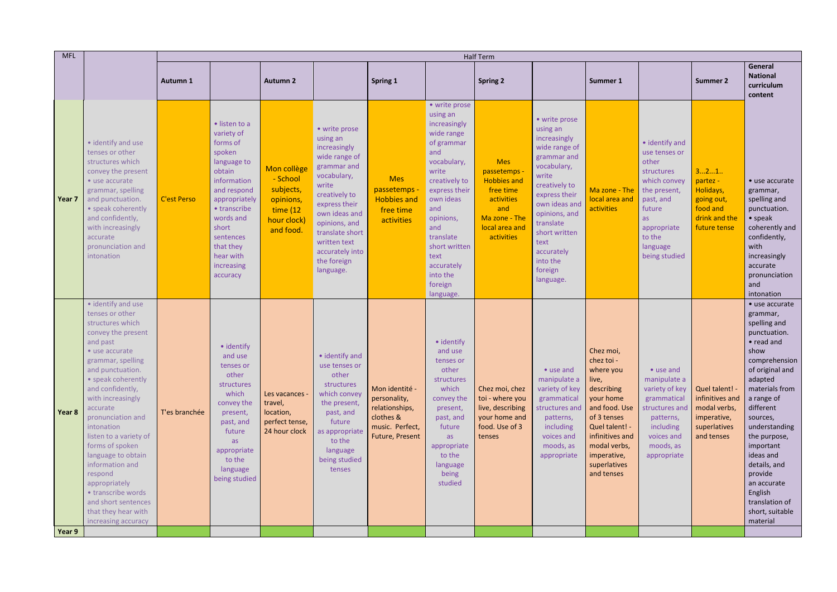| <b>MFL</b>       |                                                                                                                                                                                                                                                                                                                                                                                                                                                                                   | <b>Half Term</b>   |                                                                                                                                                                                                                                  |                                                                                           |                                                                                                                                                                                                                                                         |                                                                                                     |                                                                                                                                                                                                                                                                        |                                                                                                                                   |                                                                                                                                                                                                                                                               |                                                                                                                                                                                                            |                                                                                                                                                                           |                                                                                                |                                                                                                                                                                                                                                                                                                                                                           |
|------------------|-----------------------------------------------------------------------------------------------------------------------------------------------------------------------------------------------------------------------------------------------------------------------------------------------------------------------------------------------------------------------------------------------------------------------------------------------------------------------------------|--------------------|----------------------------------------------------------------------------------------------------------------------------------------------------------------------------------------------------------------------------------|-------------------------------------------------------------------------------------------|---------------------------------------------------------------------------------------------------------------------------------------------------------------------------------------------------------------------------------------------------------|-----------------------------------------------------------------------------------------------------|------------------------------------------------------------------------------------------------------------------------------------------------------------------------------------------------------------------------------------------------------------------------|-----------------------------------------------------------------------------------------------------------------------------------|---------------------------------------------------------------------------------------------------------------------------------------------------------------------------------------------------------------------------------------------------------------|------------------------------------------------------------------------------------------------------------------------------------------------------------------------------------------------------------|---------------------------------------------------------------------------------------------------------------------------------------------------------------------------|------------------------------------------------------------------------------------------------|-----------------------------------------------------------------------------------------------------------------------------------------------------------------------------------------------------------------------------------------------------------------------------------------------------------------------------------------------------------|
|                  |                                                                                                                                                                                                                                                                                                                                                                                                                                                                                   | Autumn 1           |                                                                                                                                                                                                                                  | <b>Autumn 2</b>                                                                           |                                                                                                                                                                                                                                                         | Spring 1                                                                                            |                                                                                                                                                                                                                                                                        | <b>Spring 2</b>                                                                                                                   |                                                                                                                                                                                                                                                               | Summer 1                                                                                                                                                                                                   |                                                                                                                                                                           | <b>Summer 2</b>                                                                                | <b>General</b><br><b>National</b><br>curriculum<br>content                                                                                                                                                                                                                                                                                                |
| Year 7           | • identify and use<br>tenses or other<br>structures which<br>convey the present<br>• use accurate<br>grammar, spelling<br>and punctuation.<br>• speak coherently<br>and confidently,<br>with increasingly<br>accurate<br>pronunciation and<br>intonation                                                                                                                                                                                                                          | <b>C'est Perso</b> | · listen to a<br>variety of<br>forms of<br>spoken<br>language to<br>obtain<br>information<br>and respond<br>appropriately<br>• transcribe<br>words and<br>short<br>sentences<br>that they<br>hear with<br>increasing<br>accuracy | Mon collège<br>- School<br>subjects,<br>opinions,<br>time (12<br>hour clock)<br>and food. | • write prose<br>using an<br>increasingly<br>wide range of<br>grammar and<br>vocabulary,<br>write<br>creatively to<br>express their<br>own ideas and<br>opinions, and<br>translate short<br>written text<br>accurately into<br>the foreign<br>language. | <b>Mes</b><br>passetemps -<br><b>Hobbies and</b><br>free time<br>activities                         | • write prose<br>using an<br>increasingly<br>wide range<br>of grammar<br>and<br>vocabulary,<br>write<br>creatively to<br>express their<br>own ideas<br>and<br>opinions,<br>and<br>translate<br>short written<br>text<br>accurately<br>into the<br>foreign<br>language. | <b>Mes</b><br>passetemps<br><b>Hobbies and</b><br>free time<br>activities<br>and<br>Ma zone - The<br>local area and<br>activities | • write prose<br>using an<br>increasingly<br>wide range of<br>grammar and<br>vocabulary,<br>write<br>creatively to<br>express their<br>own ideas and<br>opinions, and<br>translate<br>short written<br>text<br>accurately<br>into the<br>foreign<br>language. | Ma zone - The<br>local area and<br>activities                                                                                                                                                              | • identify and<br>use tenses or<br>other<br>structures<br>which convey<br>the present,<br>past, and<br>future<br>as<br>appropriate<br>to the<br>language<br>being studied | 321<br>partez -<br>Holidays,<br>going out,<br>food and<br>drink and the<br>future tense        | • use accurate<br>grammar,<br>spelling and<br>punctuation.<br>$\bullet$ speak<br>coherently and<br>confidently,<br>with<br>increasingly<br>accurate<br>pronunciation<br>and<br>intonation                                                                                                                                                                 |
| Year 8<br>Year 9 | • identify and use<br>tenses or other<br>structures which<br>convey the present<br>and past<br>• use accurate<br>grammar, spelling<br>and punctuation.<br>• speak coherently<br>and confidently,<br>with increasingly<br>accurate<br>pronunciation and<br>intonation<br>listen to a variety of<br>forms of spoken<br>language to obtain<br>information and<br>respond<br>appropriately<br>• transcribe words<br>and short sentences<br>that they hear with<br>increasing accuracy | T'es branchée      | • identify<br>and use<br>tenses or<br>other<br>structures<br>which<br>convey the<br>present,<br>past, and<br>future<br>as<br>appropriate<br>to the<br>language<br>being studied                                                  | Les vacances -<br>travel,<br>location,<br>perfect tense,<br>24 hour clock                 | • identify and<br>use tenses or<br>other<br>structures<br>which convey<br>the present,<br>past, and<br>future<br>as appropriate<br>to the<br>language<br>being studied<br>tenses                                                                        | Mon identité -<br>personality,<br>relationships,<br>clothes &<br>music. Perfect,<br>Future, Present | · identify<br>and use<br>tenses or<br>other<br>structures<br>which<br>convey the<br>present,<br>past, and<br>future<br>as<br>appropriate<br>to the<br>language<br>being<br>studied                                                                                     | Chez moi, chez<br>toi - where you<br>live, describing<br>your home and<br>food. Use of 3<br>tenses                                | • use and<br>manipulate a<br>variety of key<br>grammatical<br>structures and<br>patterns,<br>including<br>voices and<br>moods, as<br>appropriate                                                                                                              | Chez moi,<br>chez toi -<br>where you<br>live,<br>describing<br>your home<br>and food. Use<br>of 3 tenses<br>Quel talent! -<br>infinitives and<br>modal verbs,<br>imperative,<br>superlatives<br>and tenses | • use and<br>manipulate a<br>variety of key<br>grammatical<br>structures and<br>patterns,<br>including<br>voices and<br>moods, as<br>appropriate                          | Quel talent! -<br>infinitives and<br>modal verbs,<br>imperative,<br>superlatives<br>and tenses | • use accurate<br>grammar,<br>spelling and<br>punctuation.<br>• read and<br>show<br>comprehension<br>of original and<br>adapted<br>materials from<br>a range of<br>different<br>sources,<br>understanding<br>the purpose,<br>important<br>ideas and<br>details, and<br>provide<br>an accurate<br>English<br>translation of<br>short, suitable<br>material |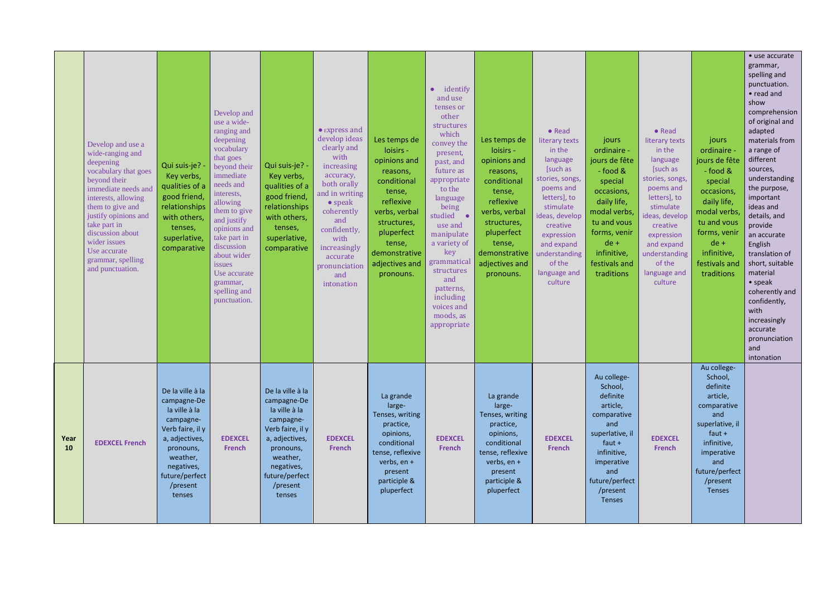|            | Develop and use a<br>wide-ranging and<br>deepening<br>vocabulary that goes<br>beyond their<br>immediate needs and<br>interests, allowing<br>them to give and<br>justify opinions and<br>take part in<br>discussion about<br>wider issues<br>Use accurate<br>grammar, spelling<br>and punctuation. | Qui suis-je? -<br>Key verbs,<br>qualities of a<br>good friend,<br>relationships<br>with others,<br>tenses,<br>superlative,<br>comparative                                          | Develop and<br>use a wide-<br>ranging and<br>deepening<br>vocabulary<br>that goes<br>beyond their<br>immediate<br>needs and<br>interests,<br>allowing<br>them to give<br>and justify<br>opinions and<br>take part in<br>discussion<br>about wider<br>issues<br>Use accurate<br>grammar,<br>spelling and<br>punctuation. | Qui suis-je? -<br>Key verbs,<br>qualities of a<br>good friend,<br>relationships<br>with others,<br>tenses,<br>superlative,<br>comparative                                          | $\bullet$ Express and<br>develop ideas<br>clearly and<br>with<br>increasing<br>accuracy,<br>both orally<br>and in writing<br>$\bullet$ speak<br>coherently<br>and<br>confidently,<br>with<br>increasingly<br>accurate<br>pronunciation<br>and<br>intonation | Les temps de<br>loisirs -<br>opinions and<br>reasons,<br>conditional<br>tense,<br>reflexive<br>verbs, verbal<br>structures,<br>pluperfect<br>tense,<br>demonstrative<br>adjectives and<br>pronouns. | $\bullet$ identify<br>and use<br>tenses or<br>other<br>structures<br>which<br>convey the<br>present,<br>past, and<br>future as<br>appropriate<br>to the<br>language<br>being<br>studied •<br>use and<br>manipulate<br>a variety of<br>key<br>grammatical<br>structures<br>and<br>patterns,<br>including<br>voices and<br>moods, as<br>appropriate | Les temps de<br>loisirs -<br>opinions and<br>reasons,<br>conditional<br>tense,<br>reflexive<br>verbs, verbal<br>structures,<br>pluperfect<br>tense,<br>demonstrative<br>adjectives and<br>pronouns. | • Read<br>literary texts<br>in the<br>language<br>[such as<br>stories, songs,<br>poems and<br>letters], to<br>stimulate<br>ideas, develop<br>creative<br>expression<br>and expand<br>understanding<br>of the<br>language and<br>culture | jours<br>ordinaire -<br>jours de fête<br>- food &<br>special<br>occasions,<br>daily life,<br>modal verbs,<br>tu and vous<br>forms, venir<br>$de +$<br>infinitive,<br>festivals and<br>traditions | • Read<br>literary texts<br>in the<br>language<br>[such as<br>stories, songs,<br>poems and<br>letters], to<br>stimulate<br>ideas, develop<br>creative<br>expression<br>and expand<br>understanding<br>of the<br>language and<br>culture | jours<br>ordinaire<br>jours de fête<br>- food &<br>special<br>occasions,<br>daily life,<br>modal verbs,<br>tu and vous<br>forms, venir<br>$de +$<br>infinitive,<br>festivals and<br>traditions | • use accurate<br>grammar,<br>spelling and<br>punctuation.<br>$\bullet$ read and<br>show<br>comprehension<br>of original and<br>adapted<br>materials from<br>a range of<br>different<br>sources,<br>understanding<br>the purpose,<br>important<br>ideas and<br>details, and<br>provide<br>an accurate<br>English<br>translation of<br>short, suitable<br>material<br>$\bullet$ speak<br>coherently and<br>confidently,<br>with<br>increasingly<br>accurate<br>pronunciation<br>and<br>intonation |
|------------|---------------------------------------------------------------------------------------------------------------------------------------------------------------------------------------------------------------------------------------------------------------------------------------------------|------------------------------------------------------------------------------------------------------------------------------------------------------------------------------------|-------------------------------------------------------------------------------------------------------------------------------------------------------------------------------------------------------------------------------------------------------------------------------------------------------------------------|------------------------------------------------------------------------------------------------------------------------------------------------------------------------------------|-------------------------------------------------------------------------------------------------------------------------------------------------------------------------------------------------------------------------------------------------------------|-----------------------------------------------------------------------------------------------------------------------------------------------------------------------------------------------------|---------------------------------------------------------------------------------------------------------------------------------------------------------------------------------------------------------------------------------------------------------------------------------------------------------------------------------------------------|-----------------------------------------------------------------------------------------------------------------------------------------------------------------------------------------------------|-----------------------------------------------------------------------------------------------------------------------------------------------------------------------------------------------------------------------------------------|--------------------------------------------------------------------------------------------------------------------------------------------------------------------------------------------------|-----------------------------------------------------------------------------------------------------------------------------------------------------------------------------------------------------------------------------------------|------------------------------------------------------------------------------------------------------------------------------------------------------------------------------------------------|--------------------------------------------------------------------------------------------------------------------------------------------------------------------------------------------------------------------------------------------------------------------------------------------------------------------------------------------------------------------------------------------------------------------------------------------------------------------------------------------------|
| Year<br>10 | <b>EDEXCEL French</b>                                                                                                                                                                                                                                                                             | De la ville à la<br>campagne-De<br>la ville à la<br>campagne-<br>Verb faire, il y<br>a, adjectives,<br>pronouns,<br>weather,<br>negatives,<br>future/perfect<br>/present<br>tenses | <b>EDEXCEL</b><br><b>French</b>                                                                                                                                                                                                                                                                                         | De la ville à la<br>campagne-De<br>la ville à la<br>campagne-<br>Verb faire, il y<br>a, adjectives,<br>pronouns,<br>weather,<br>negatives,<br>future/perfect<br>/present<br>tenses | <b>EDEXCEL</b><br><b>French</b>                                                                                                                                                                                                                             | La grande<br>large-<br>Tenses, writing<br>practice,<br>opinions,<br>conditional<br>tense, reflexive<br>verbs, en +<br>present<br>participle &<br>pluperfect                                         | <b>EDEXCEL</b><br><b>French</b>                                                                                                                                                                                                                                                                                                                   | La grande<br>large-<br>Tenses, writing<br>practice,<br>opinions,<br>conditional<br>tense, reflexive<br>verbs, en +<br>present<br>participle &<br>pluperfect                                         | <b>EDEXCEL</b><br><b>French</b>                                                                                                                                                                                                         | Au college-<br>School,<br>definite<br>article,<br>comparative<br>and<br>superlative, il<br>$faut +$<br>infinitive,<br>imperative<br>and<br>future/perfect<br>/present<br>Tenses                  | <b>EDEXCEL</b><br><b>French</b>                                                                                                                                                                                                         | Au college-<br>School,<br>definite<br>article,<br>comparative<br>and<br>superlative, il<br>faut $+$<br>infinitive,<br>imperative<br>and<br>future/perfect<br>/present<br>Tenses                |                                                                                                                                                                                                                                                                                                                                                                                                                                                                                                  |